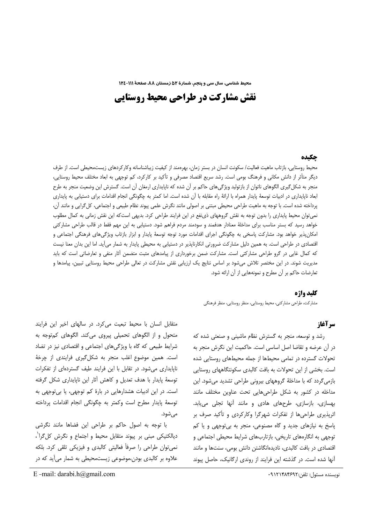محیط شناسی، سال سی و پنجم، شمارهٔ ۵۲ زمستان ۸۸، صفحهٔ ۱۱۱-۱۲٤

# نقش مشارکت در طراحی محیط روستایی

#### حكىده

محیط روستایی، بازتاب ماهیت فعالیت/ سکونت انسان در بستر زمان، بهرهمند از کیفیت زیباشناسانه وکارکردهای زیستمحیطی است. از طرف دیگر متأثر از دانش مکانی و فرهنگ بومی است. رشد سریع اقتصاد مصرفی و تأکید بر کارکرد، کم توجهی به ابعاد مختلف محیط روستایی، منجر به شکل گیری الگوهای ناتوان از بازتولید ویژگیهای حاکم بر آن شده که ناپایداری ارمغان آن است. گسترش این وضعیت منجر به طرح ابعاد ناپایداری در ادبیات توسعهٔ پایدار همراه با ارائهٔ راه مقابله با آن شده است. اما کمتر به چگونگی انجام اقدامات برای دستیابی به پایداری پرداخته شده است. با توجه به ماهیت طراحی محیطی مبتنی بر اصولی مانند نگرش علمی پیوند نظام طبیعی و اجتماعی، کل¢رایی و مانند أن، نمی توان محیط پایداری را بدون توجه به نقش گروههای ذی نفع در این فرایند طراحی کرد. بدیهی است که این نقش زمانی به کمال مطلوب خواهد رسید که بستر مناسب برای مداخلهٔ معنادار هدفمند و سودمند مردم فراهم شود. دستیابی به این مهم فقط در قالب طراحی مشارکتی امکان پذیر خواهد بود. مشارکت پاسخی به چگونگی اجرای اقدامات مورد توجه توسعهٔ پایدار و ابزار بازتاب ویژگیهای فرهنگی اجتماعی و اقتصادی در طراحی است. به همین دلیل مشارکت ضرورتی انکارناپذیر در دستیابی به محیطی پایدار به شمار میآید. اما این بدان معنا نیست که کمال غایی در گرو طراحی مشارکتی است. مشارکت ضمن برخورداری از پیامدهای مثبت متضمن أثار منفی و تعارضاتی است که باید مدیریت شوند. در این مختصر تلاش می شود بر اساس نتایج یک ارزیابی نقش مشارکت در تعالی طراحی محیط روستایی تبیین، پیامدها و تعارضات حاكم بر أن مطرح و نمونههايي از أن ارائه شود.

#### كليد واژه

مشاركت، طراحي مشاركتي، محيط روستايي، منظر روستايي، منظر فرهنگي

# سر آغاز

رشد و توسعه، منجر به گسترش نظام ماشینی و صنعتی شده که در آن عرضه و تقاضا اصل اساسی است. حاکمیت این نگرش منجر به تحولات گسترده در تمامی محیطها از جمله محیطهای روستایی شده است. بخشی از این تحولات به بافت کالبدی سکونتگاههای روستایی بازمی گردد که با مداخلهٔ گروههای بیرونی طراحی تشدید می شود. این مداخله در کشور به شکل طراحیهایی تحت عناوین مختلف مانند بهسازی، بازسازی، طرحهای هادی و مانند آنها تجلی می یابد. اثرپذیری طراحیها از تفکرات شهرگرا وکارکردی و تأکید صرف بر یاسخ به نیازهای جدید و گاه مصنوعی، منجر به بی توجهی و یا کم توجهی به انگارههای تاریخی، بازتاربهای شرایط محیطی اجتماعی و اقتصادی در بافت کالبدی، نادیدهانگاشتن دانش بومی، سنتها و مانند آنها شده است. در گذشته این فرایند از روندی ارگانیک، حاصل پیوند

نويسنده مسئول: تلفن:٩١٢١۴٨۴۶٩٢

متقابل انسان با محیط تبعیت می کرد. در سالهای اخیر این فرایند متحول و از الگوهای تحمیلی پیروی می کند. الگوهای کمتوجه به شرایط طبیعی که گاه با ویژگیهای اجتماعی و اقتصادی نیز در تضاد است. همین موضوع اغلب منجر به شکل گیری فرایندی از چرخهٔ ناپایداری می شود. در تقابل با این فرایند طیف گستردهای از تفکرات توسعهٔ پایدار با هدف تعدیل و کاهش آثار این ناپایداری شکل گرفته است. در این ادبیات هشدارهایی در بارهٔ کم توجهی، یا بی توجهی به توسعهٔ پایدار مطرح است وکمتر به چگونگی انجام اقدامات پرداخته مے ,شود.

با توجه به اصول حاکم بر طراحی این فضاها مانند نگرشی دیالکتیکی مبنی بر پیوند متقابل محیط و اجتماع و نگرش کل¢را<sup>٬</sup>، نمی توان طراحی را صرفاً فعالیتی کالبدی و فیزیکی تلقی کرد. بلکه علاوه بر کالبدی بودن،موضوعی زیستمحیطی به شمار می آید که در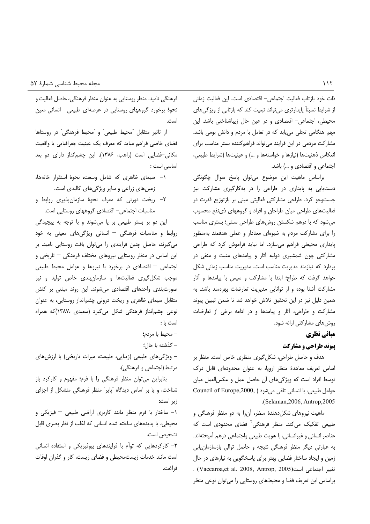ذات خود بازتاب فعاليت اجتماعي- اقتصادي است. اين فعاليت زماني از شرایط نسبتاً پایدارتری می تواند تبعیت کند که بازتابی از ویژگی های محیطی، اجتماعی- اقتصادی و در عین حال زیباشناختی باشد. این مهم هنگامی تجلی می یابد که در تعامل با مردم و دانش بومی باشد. مشارکت مردمی در این فرایند می تواند فراهم کننده بستر مناسب برای انعكاس ذهنيتها (نيازها و خواستهها و ...) و عينيتها (شرايط طبيعي، اجتماعی و اقتصادی و ...) باشد.

براساس ماهيت اين موضوع مي توان پاسخ سوال چگونگي دست یابی به پایداری در طراحی را در بهکارگیری مشارکت نیز جستوجو کرد. طراحی مشارکتی فعالیتی مبنی بر بازتوزیع قدرت در فعالیتهای طراحی میان طراحان و افراد و گروههای ذی نفع محسوب می شود که با درهم شکستن روش های طراحی سنتی؛ بستری مناسب را برای مشارکت مردم به شیوهای معنادار و عملی هدفمند بهمنظور پایداری محیطی فراهم میسازد. اما نباید فراموش کرد که طراحی مشارکتی چون شمشیری دولبه آثار و پیامدهای مثبت و منفی در بردارد که نیازمند مدیریت مناسب است. مدیریت مناسب زمانی شکل خواهد گرفت که طراح؛ ابتدا با مشارکت و سپس با پیامدها و آثار مشاركت آشنا بوده و از توانايي مديريت تعارضات بهرهمند باشد. به همین دلیل نیز در این تحقیق تلاش خواهد شد تا ضمن تبیین پیوند مشارکت و طراحی، آثار و پیامدها و در ادامه برخی از تعارضات روشهای مشارکتی ارائه شود.

# مباني نظري **پیوند طراحی و مشارکت**

هدف و حاصل طراحی، شکل گیری منظری خاص است. منظر بر اساس تعریف معاهدهٔ منظر اروپا، به عنوان محدودهای قابل درک توسط افراد است كه ویژگی های آن حاصل عمل و عكس العمل میان عوامل طبيعي، يا انساني تلقى مى شود ( Council of Europe,2000, (Selaman, 2006, Antrop, 2005).

ماهيت نيروهاي شكل دهندۀ منظر، آن را به دو منظر فرهنگي و طبیعی تفکیک می *ک*ند. منظر فرهنگی<sup>۲</sup> فضای محدودی است که عناصر انسانی و غیرانسانی، با هویت طبیعی واجتماعی درهم آمیختهاند. به عبارتی دیگر منظر فرهنگی نتیجه و حاصل توالی بازسازمان یابی زمین و ایجاد ساختار فضایی بهتر برای پاسخگویی به نیازهای در حال . (Vaccaroa,et al. 2008, Antrop, 2005) براساس این تعریف فضا و محیطهای روستایی را می توان نوعی منظر

فرهنگی نامید. منظر روستایی به عنوان منظر فرهنگی، حاصل فعالیت و نحوهٔ برخورد گروههای روستایی در عرصهای طبیعی \_ انسانی معین است

از تاثیر متقابل "محیط طبیعی" و "محیط فرهنگی" در روستاها فضای خاصی فراهم میاید که معرف یک عینیت جغرافیایی یا واقعیت مکانی-فضایی است (راهب، ۱۳۸۶). این چشمانداز دارای دو بعد اساسی است:

- ١- سيماى ظاهرى كه شامل وسعت، نحوة استقرار خانهها، زمین های زراعی و سایر ویژگی های کالبدی است.
- ٢- ريخت دورنى كه معرف نحوة سازمانٍپذيرى روابط و مناسبات اجتماعی– اقتصادی گروههای روستایی است.

این دو بر بستر طبیعی بر پا میشوند و با توجه به پیچیدگی روابط و مناسبات فرهنگی - انسانی ویژگیهای معینی به خود می گیرند، حاصل چنین فرایندی را می توان بافت روستایی نامید. بر این اساس در منظر روستایی نیروهای مختلف فرهنگی – تاریخی و اجتماعی – اقتصادی در برخورد با نیروها و عوامل محیط طبیعی موجب شکل گیری فعالیتها و سازمانبندی خاص تولید و نیز صورتبندی واحدهای اقتصادی میشوند. این روند مبنتی بر کنش متقابل سیمای ظاهری و ریخت درونی چشمانداز روستایی، به عنوان نوعی چشمانداز فرهنگی شکل میگیرد (سعیدی ،۱۳۸۷)که همراه است با:

- محيط با مردم؛
- گذشته با حالِ؛

- ویژگیهای طبیعی (زیبایی، طبیعت، میراث تاریخی) با ارزشهای مرتبط (اجتماعي و فرهنگي).

بنابراین می توان منظر فرهنگی را با فرم؛ مفهوم و کارکرد باز شناخت، و یا بر اساس دیدگاه "پایر" منظر فرهنگی متشکل از اجزای زير است:

۱– ساختار یا فرم منظر مانند کاربری اراضی طبیعی – فیزیکی و محیطی، یا پدیدههای ساخته شده انسانی که اغلب از نظر بصری قابل تشخيص است.

۲– کارکردهایی که توأم با فرایندهای بیوفیزیکی و استفاده انسانی است مانند خدمات زیستمحیطی و فضای زیست، کار و گذران اوقات فراغت.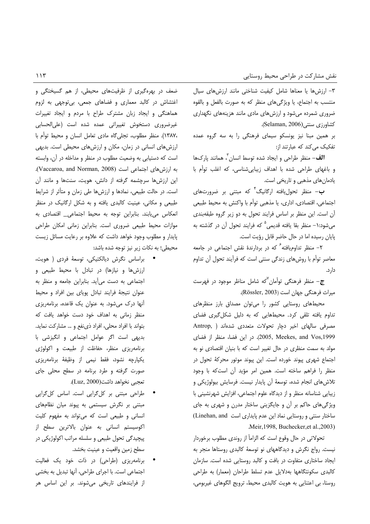٣- ارزشها يا معناها شامل كيفيت شناختى مانند ارزشهاى سيال منتسب به اجتماع، يا ويژگىهاى منظر كه به صورت بالفعل و بالقوه ضروری شمرده میشود و ارزشهای مادی مانند هزینههای نگهداری كشاورزى سنتى(Selaman, 2006).

بر همین مبنا نیز یونسکو سیمای فرهنگی را به سه گروه عمده تفکیک می کند که عبارتند از:

**الف**– منظر طراحی و ایجاد شده توسط انسان <sup>۲</sup>، همانند پارکها و باغهای طراحی شده با اهداف زیبایی شناسی، که اغلب توأم با یادمانهای مذهبی و تاریخی است.

**ب**– منظر تحول<sub>ن</sub>افته ارگانیگ<sup>۴</sup> که مبتنی بر ضرورتهای اجتماعي، اقتصادي، اداري، يا مذهبي توأم با واكنش به محيط طبيعي آن است. این منظر بر اساس فرایند تحول به دو زیر گروه طبقهبندی میشود: ۱- منظر بقا یافته قدیمی<sup>۵</sup> که فرایند تحول آن در گذشته به پایان رسیده اما در حال حاضر قابل رؤیت است.

۲- منظر تداومیافته<sup>۶</sup> که در بردارندهٔ نقش اجتماعی در جامعه معاصر توأم با روشهای زندگی سنتی است که فرآیند تحول آن تداوم دار د.

ج– منظر فرهنگی توأمان <sup>۷</sup>که شامل مناظر موجود در فهرس*ت* میراث فرهنگی جهان است (Rössler, 2003).

محیطهای روستایی کشور را می توان مصداق بارز منظرهای تداوم یافته تلقی کرد. محیطهایی که به دلیل شکل گیری فضای مصرفی سالهای اخیر دچار تحولات متعددی شدهاند ( .Antrop 2005, Meekes, and Vos,1999). در این فضا، منظر از فضای مولد به سمت منظری در حال تغییر است که با بنیان اقتصادی نو به اجتماع شهری پیوند خورده است. این پیوند موتور محرکهٔ تحول در منظر را فراهم ساخته است. همین امر مؤید آن است که با وجود تلاشهای انجام شده، توسعهٔ آن پایدار نیست. فرسایش بیولوژیکی و زیبایی شناسانه منظر و از دیدگاه علوم اجتماعی، افزایش شهرنشینی با ویژگیهای حاکم بر آن و جایگزینی ساختار مدرن و شهری به جای ساختار سنتی و روستایی نماد این عدم پایداری است Linehan, and) Meir, 1998, Buchecker, et al., 2003).

تحولاتي در حال وقوع است كه الزامأ از روندي مطلوب برخوردار نیست. رواج نگرش و دیدگاههای نو توسعهٔ کالبدی روستاها منجر به ایجاد ساختاری متفاوت در بافت و کالبد روستایی شده است. سازمان كالبدى سكونتگاهها بهدلايل عدم تسلط طراحان (معمار) به طراحى روستا، بي اعتنايي به هويت كالبدى محيط، ترويج الگوهاى غيربومي،

ضعف در بهرهگیری از ظرفیتهای محیطی، از هم گسیختگی و اغتشاش در کالبد معماری و فضاهای جمعی، بیتوجهی به لزوم هماهنگی و ایجاد زبان مشترک طراح با مردم و ایجاد تغییرات غیرضروری دستخوش تغییراتی عمده شده است (علیالحسابی ،١٣٨٧). منظر مطلوب، تجلي گاه مادي تعامل انسان و محيط توأم با ارزشهای انسانی در زمان، مکان و ارزشهای محیطی است. بدیهی است که دستیابی به وضعیت مطلوب در منظر و مداخله در آن، وابسته به ارزشهای اجتماعی است (Vaccaroa, and Norman, 2008). این ارزشها سرچشمه گرفته از دانش، هویت، سنتها و مانند آن است. در حالت طبیعی، نمادها و ارزشها طی زمان و متأثر از شرایط طبیعی و مکانی، عینیت کالبدی یافته و به شکل ارگانیک در منظر انعکاس می یابند. بنابراین توجه به محیط اجتماعی\_ اقتصادی به موازات محیط طبیعی ضروری است. بنابراین زمانی امکان طراحی پایدار و مطلوب وجود خواهد داشت که علاوه بر رعایت مسائل زیست محیطی؛ به نکات زیر نیز توجه شده باشد:

- براساس نگرش دیالکتیکی، توسعهٔ فردی ( هویت، ارزشها و نیازها) در تبادل با محیط طبیعی و اجتماعی به دست میآید. بنابراین جامعه و منظر به عنوان نتيجة فرايند تبادل پوياى بين افراد و محيط آنها درک میشود. به عنوان یک قاعده، برنامهریزی منظر زمانی به اهداف خود دست خواهد یافت که بتواند با افراد محلي، افراد ذي نفع و ... مشاركت نمايد. بدیهی است اگر عوامل اجتماعی و انگیزشی با برنامهریزی منظر، حفاظت از طبیعت و اکولوژی يكپارچه نشود، فقط نيمي از وظيفهٔ برنامهريزي صورت گرفته و طرد برنامه در سطح محلی جای تعجبي نخواهد داشت(Luz, 2000).
- طراحی مبتنی بر کل گرایی است. اساس کل گرایی مبتنی بر نگرش سیستمی به پیوند میان نظامهای انسانی و طبیعی است که می تواند به مفهوم کلیت اكوسيستم انساني به عنوان بالاترين سطح از پیچیدگی تحول طبیعی و سلسله مراتب اکولوژیکی در سطح زمين واقعيت و عينيت بخشد.
- برنامهریزی (طراحی) در ذات خود یک فعالیت اجتماعی است. با اجرای طراحی، آنها تبدیل به بخشی از فرایندهای تاریخی می شوند. بر این اساس هر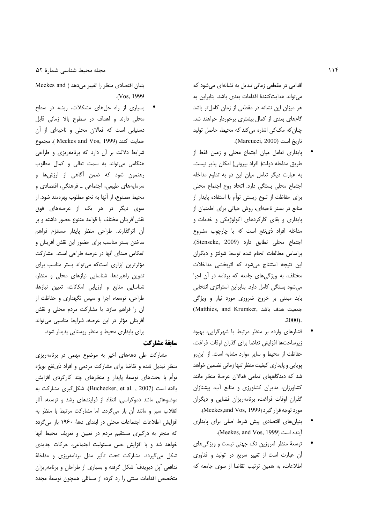اقدامی در مقطعی زمانی تبدیل به نشانهای میشود که می تواند هدایت کنندهٔ اقدامات بعدی باشد. بنابراین به هر میزان این نشانه در مقطعی از زمان کاملتر باشد گامهای بعدی از کمال بیشتری برخوردار خواهند شد. چنان که مک کی اشاره می کند که محیط، حاصل تولید تاريخ است (Marcucci, 2000).

- پایداری تعامل میان اجتماع محلی و زمین فقط از طريق مداخله دولت( افراد بيروني) امكان پذير نيست. به عبارت دیگر تعامل میان این دو به تداوم مداخله اجتماع محلی بستگی دارد. اتحاد روح اجتماع محلی برای حفاظت از تنوع زیستی توأم با استفاده پایدار از منابع در بستر ناحیهای، روش حیاتی برای اطمنیان از پایداری و بقای کارکردهای اکولوژیکی و خدمات و مداخله افراد ذی:فع است که با چارچوب مشروع اجتماع محلى تطابق دارد (Stenseke, 2009). براساس مطالعات انجام شده توسط شولتز و ديگران این نتیجه استنتاج میشود که اثربخشی مداخلات مختلف، به ویژگی های جامعه که برنامه در آن اجرا می شود بستگی کامل دارد. بنابراین استراتژی انتخابی باید مبتنی بر خروج ضروری مورد نیاز و ویژگی (Matthies, and Krumker, جمعيت هدف باشد  $.2000$ ).
- فشارهای وارده بر منظر مرتبط با شهرگرایی، بهبود زيرساختها افزايش تقاضا براى كذران اوقات فراغت، حفاظت از محیط و سایر موارد مشابه است. از این رو پویایی و پایداری کیفیت منظر تنها زمانی تضمین خواهد شد که دیدگاههای تمامی فعالان عرصهٔ منظر مانند کشاورزان، مدیران کشاورزی و منابع آب، پیشتازان گذران اوقات فراغت، برنامهریزان فضایی و دیگران مورد توجه قرار گیرد (Meekes,and Vos, 1999).
- بنیان های اقتصادی پیش شرط اصلی برای پایداری .(Meekes, and Vos, 1999).
- توسعهٔ منظر امروزین تک جهتی نیست و ویژگیهای آن عبارت است از تغییر سریع در تولید و فناوری اطلاعات، به همین ترتیب تقاضا از سوی جامعه که

بنیان اقتصادی منظر را تغییر می دهد ( Meekes and .(Vos. 1999)

بسیاری از راه حلهای مشکلات، ریشه در سطح محلی دارند و اهداف در سطوح بالا زمانی قابل دستیابی است که فعالان محلی و ناحیهای از آن حمايت كنند (Meekes and Vos, 1999). مجموع شرایط دلالت بر آن دارد که برنامهریزی و طراحی هنگامی می تواند به سمت تعالی و کمال مطلوب رهنمون شود كه ضمن أگاهى از ارزشها و سرمایههای طبیعی، اجتماعی ــ فرهنگی، اقتصادی و محيط مصنوع، از آنها به نحو مطلوب بهرهمند شود. از سوی دیگر در هر یک از عرصههای فوق نقشآفرینان مختلف با قواعد متنوع حضور داشته و بر أن اثرگذارند. طراحي منظر پايدار مستلزم فراهم ساختن بستر مناسب برای حضور این نقش آفرینان و انعکاس صدای أنها در عرصه طراحی است. مشارکت مؤثرترین ابزاری است که می تواند بستر مناسب برای تدوین راهبردها، شناسایی نیازهای محلی و منظر، شناسایی منابع و ارزیابی امکانات، تعیین نیازها، طراحی، توسعه، اجرا و سپس نگهداری و حفاظت از آن را فراهم سازد. با مشاركت مردم محلى و نقش أفرينان مؤثر در اين عرصه، شرايط مناسبي مي تواند برای پایداری محیط و منظر روستایی پدیدار شود.

#### سابقة مشاركت

مشارکت طی دهههای اخیر به موضوع مهمی در برنامهریزی منظر تبدیل شده و تقاضا برای مشارکت مردمی و افراد ذی نفع بویژه توأم با بحثهای توسعهٔ پایدار و منظرهای چند کارکردی افزایش یافته است (Buchecker, et al. , 2007). شکل گیری مشارکت به موضوعاتی مانند دموکراسی، انتقاد از فرایندهای رشد و توسعه، آثار انقلاب سبز و مانند أن باز مىگردد. اما مشاركت مرتبط با منظر به افزایش اطلاعات اجتماعات محلی در ابتدای دههٔ ۱۹۶۰ باز می گردد که منجر به درگیری مستقیم مردم در تعیین و تعریف محیط آنها خواهد شد و با افزایش حس مسئولیت اجتماعی، حرکات جدیدی شکل میگیردد. مشارکت تحت تأثیر مدل برنامهریزی و مداخلهٔ تدافعی "پل دیویدف" شکل گرفته و بسیاری از طراحان و برنامهریزان متخصص اقدامات سنتی را رد کرده از مسائلی همچون توسعهٔ مجدد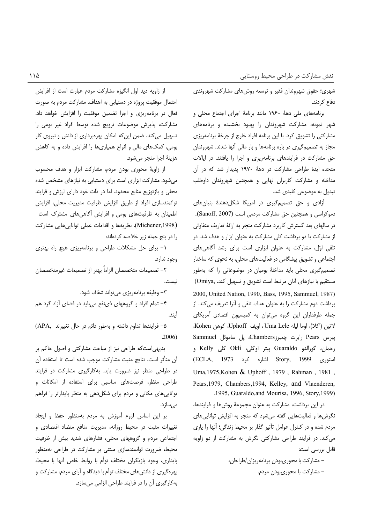شهری؛ حقوق شهروندان فقیر و توسعه روشهای مشارکت شهروندی دفاع كردند.

برنامههای ملی دههٔ ۱۹۶۰ مانند برنامهٔ اجرای اجتماع محلی و شهر نمونه، مشارکت شهروندان را بهبود بخشیده و برنامههای مشارکتی را تشویق کرد. با این برنامه افراد خارج از چرخهٔ برنامهریزی مجاز به تصمیم گیری در باره برنامهها و بار مالی آنها شدند. شهروندان حق مشارکت در فرایندهای برنامهریزی و اجرا را یافتند. در ایالات متحده ایدهٔ طراحی مشارکت در دههٔ ۱۹۷۰ پدیدار شد که در آن مداخله و مشارکت کاربران نهایی و همچنین شهروندان داوطلب تبدیل به موضوعی کلیدی شد.

آزادی و حق تصمیم گیری در امریکا شکل دهندهٔ بنیان های دموكراسي و همچنين حق مشاركت مردمي است (Sanoff, 2007). در سالهای بعد گسترش کاربرد مشارکت منجر به ارائهٔ تعاریف متفاوتی از مشارکت با دو برداشت کلی مشارکت به عنوان ابزار و هدف شد. در تلقی اوّل، مشارکت به عنوان ابزاری است برای رشد آگاهیهای اجتماعی و تشویق پیشگامی در فعالیتهای محلی، به نحوی که ساختار تصمیم گیری محلی باید مداخلهٔ بومیان در موضوعاتی را که بهطور مستقیم با نیازهای آنان مرتبط است تشویق و تسهیل کند. ,Omiya) 2000, United Nation, 1990, Bass, 1995, Sammuel, 1987) برداشت دوم مشاركت را به عنوان هدف تلقى و آنرا تعريف مى كند. از جمله طرفداران این گروه میتوان به کمیسیون اقتصادی أمریکای لاتين (اكلا)، اوما ليله Uma Lele ، اويف Uphoff، كوهن Kohen، پیرس Pears رابرت چمبرزChambers، پل ساموئل Sammuel رحمان، گورالدو Guaraldo پیتر اوکلی، Okli کلی Kelly و (ECLA, 1973 اشاره کرد) Story, 1999 استورى Uma, 1975, Kohen & Uphoff, 1979, Rahman, 1981, Pears, 1979, Chambers, 1994, Kelley, and Vlaenderen, .1995, Guaraldo, and Mourisa, 1996, Story, 1999).

در این برداشت، مشارکت به عنوان مجموعهٔ روشها و فرایندها، نگرشها و فعالیتهایی گفته میشود که منجر به افزایش تواناییهای مردم شده و در کنترل عوامل تأثیر گذار بر محیط زندگی؛ آنها را پاری می کند. در فرایند طراحی مشارکتی نگرش به مشارکت از دو زاویه قابل بررسی است:

> – مشاركت با محورى بودن برنامهريزان /طراحان، – مشاركت با محورىبودن مردم.

از زاویه دید اول انگیزه مشارکت مردم عبارت است از افزایش احتمال موفقیت پروژه در دستیابی به اهداف. مشارکت مردم به صورت فعال در برنامهریزی و اجرا تضمین موفقیت را افزایش خواهد داد. مشارکت، پذیرش موضوعات ترویج شده توسط افراد غیر بومی را تسهیل می کند، ضمن این که امکان بهرهبرداری از دانش و نیروی کار بومی، کمکهای مالی و انواع همپاریها را افزایش داده و به کاهش هزينهٔ اجرا منجر مي شود.

از زاویهٔ محوری بودن مردم، مشارکت ابزار و هدف محسوب می شود. مشارکت ابزاری است برای دستیابی به نیازهای مشخص شده محلی و بازتوزیع منابع محدود. اما در ذات خود دارای ارزش و فرایند توانمندسازی افراد از طریق افزایش ظرفیت مدیریت محلی، افزایش اطمینان به ظرفیتهای بومی و افزایش آگاهی های مشترک است (Michener,1998). نظریهها و اقدامات عملی تواناییهایی مشارکت را در پنچ جمله زیر خلاصه کردهاند:

۱– برای حل مشکلات طراحی و برنامهریزی هیچ راه بهتری وجود ندارد.

٢– تصميمات متخصصان الزاماً بهتر از تصميمات غيرمتخصصان نىست.

٣– وظيفه برنامهريزي مي¤واند شفاف شود.

۴– تمام افراد و گروههای ذی نفع می باید در فضای آزاد گرد هم آيند.

۵– فرایندها تداوم داشته و بهطور دائم در حال تغییرند ,APA)  $.2006)$ 

بدیهی است که طراحی نیز از مباحث مشارکتی و اصول حاکم بر آن متأثر است. نتايج مثبت مشاركت موجب شده است تا استفاده آن در طراحی منظر نیز ضرورت یابد. بهکارگیری مشارکت در فرایند طراحی منظر، فرصتهای مناسبی برای استفاده از امکانات و توانایی های مکانی و مردم برای شکل دهی به منظر پایدارتر را فراهم مے ،سازد.

بر این اساس لزوم آموزش به مردم بهمنظور حفظ و ایجاد تغییرات مثبت در محیط روزانه، مدیریت منافع متضاد اقتصادی و اجتماعی مردم و گروههای محلی، فشارهای شدید بیش از ظرفیت محیط، ضرورت توانمندسازی مبتنی بر مشارکت در طراحی بهمنظور یایداری، وجود بازیگران مختلف توأم با روابط خاص آنها با محیط، بهرهگیری از دانشهای مختلف توأم با دیدگاه و آرای مردم، مشارکت و به کارگیری آن را در فرایند طراحی الزامی می سازد.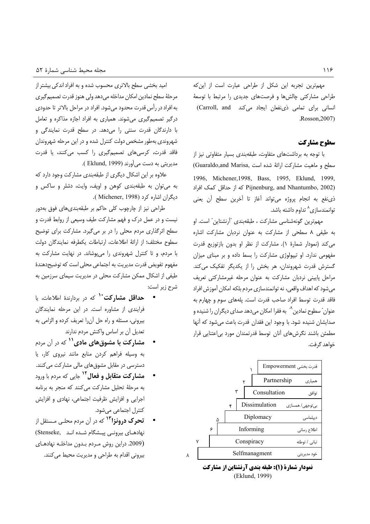مهمترین تجربه این شکل از طراحی عبارت است از این که طراحی مشارکتی چالشها و فرصتهای جدیدی را مرتبط با توسعهٔ انسانی برای تمامی ذی نفعان ایجاد می کند Carroll, and .Rosson, 2007)

## سطوح مشاركت

با توجه به برداشتهای متفاوت، طبقهبندی بسیار متفاوتی نیز از (Guaraldo,and Marisa, سطح و ماهيت مشاركت ارائة شده است 1996, Michener, 1998, Bass, 1995, Eklund, 1999, Dijnenburg, and Nhantumbo, 2002) كه از حداقل كمك افراد ذي نفع به انجام پروژه مي تواند آغاز تا آخرين سطح آن يعني توانمندسازی<sup>۸</sup> تداوم داشته باشد.

مهمترين گونهشناسي مشاركت ، طبقهبندي "آرنشتاين" است. او به طیفی ۸ سطحی از مشارکت به عنوان نردبان مشارکت اشاره می کند (نمودار شمارهٔ ۱). مشارکت از نظر او بدون بازتوزیع قدرت مفهومی ندارد. او تیپولوژی مشارکت را بسط داده و بر مبنای میزان گسترش قدرت شهروندان، هر بخش را از یکدیگر تفکیک می کند. مراحل پایینی نردبان مشارکت به عنوان مرحله غیرمشارکتی تعریف میشود که اهداف واقعی، نه توانمندسازی مردم بلکه امکان آموزش افراد .<br>فاقد قدرت توسط افراد صاحب قدرت است. یلههای سوم و چهارم به عنوان ٌ سطوح نمادين ٌ ؓ به فقرا امكان می دهد صدای دیگران را شنیده و صدایشان شنیده شود. با وجود این فقدان قدرت باعث میشود که آنها مطمئن باشند نگرش های آنان توسط قدرتمندان مورد بی|عتنایی قرار خواهد گرفت.



نمودار شمارة (1): طبقه بندي آرنشتاين از مشاركت (Eklund, 1999)

امید بخشی سطح بالاتری محسوب شده و به افراد اندکی بیشتر از مرحلهٔ سطح نمادین امکان مداخله میدهد ولی هنوز قدرت تصمیم گیری به افراد در رأس قدرت محدود میشود. افراد در مراحل بالاتر تا حدودی درگیر تصمیم گیری می شوند. همیاری به افراد اجازه مذاکره و تعامل با دارندگان قدرت سنتی را میدهد. در سطح قدرت نمایندگی و شهروندی بهطور مشخص دولت کنترل شده و در این مرحله شهروندان فاقد قدرت، کرسی های تصمیم گیری را کسب میکنند، یا قدرت مدیریتی به دست میآورند (Eklund, 1999).

علاوه بر این اشکال دیگری از طبقهبندی مشارکت وجود دارد که به می توان به طبقهبندی کوهن و اوپف، وایت، دشلر و ساکس و دیگران اشاره کرد (Michener, 1998).

طراحی نیز از چارچوب کلی حاکم بر طبقهبندیهای فوق بهدور نیست و در عمل درک و فهم مشارکت طیف وسیعی از روابط قدرت و سطح اثرگذاری مردم محلی را در بر میگیرد. مشارکت برای توضیح سطوح مختلف؛ از ارائهٔ اطلاعات، ارتباطات یکطرفه نمایندگان دولت با مردم، وتا كنترل شهروندى را مى پوشاند. در نهايت مشاركت به مفهوم تفویض قدرت مدیریت به اجتماعی محلی است که توضیحدهندهٔ طیفی از اشکال ممکن مشارکت محلی در مدیریت سیمای سرزمین به شرح زير است:

- **حداقل مشارکت<sup>۱۰</sup>** که در بردارندهٔ اطلاعات، یا فرایندی از مشاوره است. در این مرحله نمایندگان بیرونی، مسئله و راه حل آن را تعریف کرده و الزامی به تعديل آن بر اساس واكنش مردم ندارند
- **مشارکت با مشوقهای مادی<sup>۱۱</sup> که در آن مردم** به وسیله فراهم کردن منابع مانند نیروی کار، یا دسترسی در مقابل مشوق های مالی مشارکت می کنند.
- **مشارکت متقابل و فعال<sup>۱۲</sup>** جایی که مردم با ورود به مرحلهٔ تحلیل مشارکت می کنند که منجر به برنامه اجرایی و افزایش ظرفیت اجتماعی، نهادی و افزایش کنترل اجتماعی می شود.
- **تحرک درونزا<sup>۱۳</sup>** که در آن مردم محلـی مـستقل از نهادهـای بیرونـی پیـشگام شـده انـد (Stenseke (2009. دراين روش مردم بدون مداخله نهادهاى بيروني اقدام به طراحي و مديريت محيط مي كنند.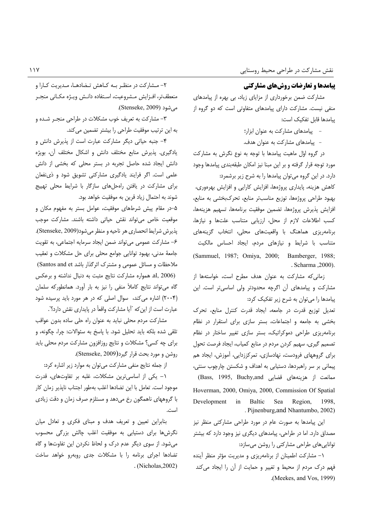# **پیامدها و تعارضات روشهای مشارکتی**

مشارکت ضمن برخورداری از مزایای زیاد، بی بهره از پیامدهای منفی نیست. مشارکت دارای پیامدهای متفاوتی است که دو گروه از ييامدها قابل تفكيك است:

- پیامدهای مشارکت به عنوان ابزار؛
- پیامدهای مشارکت به عنوان هدف.

در گروه اوّل ماهیت پیامدها با توجه به نوع نگرش به مشارکت مورد توجه قرار گرفته و بر این مبنا نیز امکان طبقهبندی پیامدها وجود دارد. در این گروه میتوان پیامدها را به شرح زیر برشمرد:

كاهش هزينه، پايدارى پروژهها، افزايش كارايي و افزايش بهرهورى، بهبود طراحی پروژهها، توزیع مناسبتر منابع، تحرکبخشی به منابع، افزايش پذيرش پروژەها، تضمين موفقيت برنامەها، تسهيم هزينەها، كسب اطلاعات لازم از محل، ارزيابي متناسب علتها و نيازها، برنامەریزی هماهنگ با واقعیتهای محلی، انتخاب گزینههای متناسب با شرایط و نیازهای مردم، ایجاد احساس مالکیت (Sammuel, 1987; Omiya, 2000; Bamberger, 1988; . Scharma , 2000).

زمانی که مشارکت به عنوان هدف مطرح است، خواستهها از مشارکت و پیامدهای آن اگرچه محدودتر ولی اساسیتر است. این پیامدها را میتوان به شرح زیر تفکیک کرد:

تعدیل توزیع قدرت در جامعه، ایجاد قدرت کنترل منابع، تحرک بخشی به جامعه و اجتماعات، بستر سازی برای استقرار در نظام برنامهریزی طراحی دموکراتیک، بستر سازی تغییر ساختار در نظام تصمیم گیری، سهیم کردن مردم در منابع کمیاب، ایجاد فرصت تحول برای گروههای فرودست، نهادسازی، تمرکززدایی، آموزش، ایجاد هم پیمانی بر سر راهبردها، دستیابی به اهداف و شکستن چارچوب سنتی،

(Bass, 1995, Buchy,and) قضايي (Bass, 1995) Hoverman, 2000, Omiya, 2000, Commission Of Spatial Development  $in$ Baltic Sea Region, 1998. . Pijnenburg, and Nhantumbo, 2002)

این پیامدها به صورت عام در مورد طراحی مشارکتی منظر نیز مصداق دارد. اما در طراحی، پیامدهای دیگری نیز وجود دارد که بیشتر تواناییهای طراحی مشارکتی را روشن میسازد:

۱– مشارکت اطمینان از برنامهریزی و مدیریت مؤثر منظر آینده فهم درک مردم از محیط و تغییر و حمایت از آن را ایجاد می کند .(Meekes, and Vos, 1999).

۲- مشارکت در منظر بـه کـاهش تـضادهـا، مـدیریت کـارا و منعطفتر، افـزايش مـشروعيت، اسـتفاده دانـش ويـژه مكـانى منجـر می شود (Stenseke, 2009).

۳– مشارکت به تعریف خوب مشکلات در طراحی منجـر شـده و به این ترتیب موفقیت طراحی را بیشتر تضمین می کند.

۴- جنبه حیاتی دیگر مشارکت عبارت است از پذیرش دانش و یادگیری. پذیرش منابع مختلف دانش و اشکال مختلف آن، بویژه دانش ایجاد شده حاصل تجربه در بستر محلی که بخشی از دانش علمی است. اگر فرایند یادگیری مشارکتی تشویق شود و ذی نفعان برای مشارکت در یافتن راهحلهای سازگار با شرایط محلی تهییج شوند به احتمال زياد قرين به موفقيت خواهد بود.

۵-در مقام پیش شرطهای موفقیت، عوامل بستر به مفهوم مکان و موقعیت خاص میتواند نقش حیاتی داشته باشند. مشارکت موجب پذيرش شرايط انحصاري هر ناحيه و منظر مي شود(Stenseke, 2009). ۶– مشاركت عمومى مى تواند ضمن ايجاد سرمايه اجتماعى، به تقويت جامعهٔ مدنی، بهبود توانایی جوامع محلی برای حل مشکلات و تعقیب ملاحظات و مسائل عمومی و مشترک اثرگذار باشد Santos and et) al, 2006). همواره مشاركت نتايج مثبت به دنبال نداشته وبرعكس گاه می تواند نتایج کاملاً منفی را نیز به بار آورد. همانطورکه سلمان (۲۰۰۴) اشاره می کند، سوال اصلی که در هر مورد باید پرسیده شود عبارت است از این که "آیا مشارکت واقعاً در پایداری نقش دارد؟".

مشارکت مردم محلی نباید به عنوان راه حلی ساده بدون عواقب تلقى شده بلكه بايد تحليل شود. با پاسخ به سئوالات: چرا، چگونه، و برای چه کسی؟ مشکلات و نتایج روزافزون مشارکت مردم محلی باید روشن و مورد بحث قرار گیرد(Stenseke, 2009).

از جمله نتایج منفی مشارکت میتوان به موارد زیر اشاره کرد:

١– یکی از اساسیترین مشکلات، غلبه بر تفاوتهای، قدرت موجود است. تعامل با این تضادها اغلب بهطور اجتناب ناپذیر زمان کار با گروههای ناهمگون رخ میدهد و مستلزم صرف زمان و دقت زیادی است.

بنابراین تعیین و تعریف هدف و مبنای فکری و تعادل میان نگرشها برای دستیابی به موفقیت اغلب چالش بزرگی محسوب می شود. از سوی دیگر عدم درک و لحاظ نکردن این تفاوتها و گاه تضادها اجرای برنامه را با مشکلات جدی روبهرو خواهد ساخت  $(Nicholas, 2002)$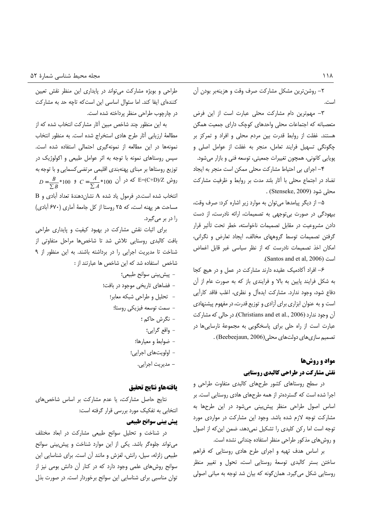٢– روشن ترين مشكل مشاركت صرف وقت و هزينهبر بودن آن است.

٣- مهمترين دام مشاركت محلى عبارت است از اين فرض متعصبانه که اجتماعات محلی واحدهای کوچک دارای جمعیت همگن هستند. غفلت از روابط قدرت بين مردم محلي و افراد و تمركز بر چگونگی تسهیل فرایند تعامل، منجر به غفلت از عوامل اصلی و پویایی کانونی، همچون تغییرات جمعیتی، توسعه فنی و بازار میشود.

۴- اجرای بی احتیاط مشارکت محلی ممکن است منجر به ایجاد تضاد در اجتماع محلی با آثار بلند مدت بر روابط و ظرفیت مشارکت . (Stenseke, 2009) .

۵– از دیگر پیامدها میتوان به موارد زیر اشاره کرد: صرف وقت، بیهودگی در صورت بی توجهی به تصمیمات، ارائه نادرست، از دست دادن مشروعیت در مقابل تصمیمات ناخواسته، خطر تحت تأثیر قرار گرفتن تصمیمات توسط گروههای مخالف، ایجاد تعارض و نگرانی، امکان اخذ تصمیمات نادرست که از نظر سیاسی غیر قابل اغماض .(Santos and et al, 2006)

۶– افراد آکادمیک عقیده دارند مشارکت در عمل و در هیچ کجا به شکل فرایند پایین به بالا و فرایندی باز که به صورت عام از آن دفاع شود، وجود ندارد. مشاركت ايدهآل و نظرى، اغلب فاقد كارآيي است و به عنوان ابزاری برای آزادی و توزیع قدرت، در مفهوم پیشنهادی آن وجود ندارد (Christians and et al., 2006). در حالي كه مشاركت عبارت است از راه حلی برای پاسخگویی به مجموعهٔ نارساییها در تصمیم سازی های دولت های محلی (Beebeejaun, 2006) .

# مواد و روشها **نقش مشارکت در طراحی کالبدی روستایی**

در سطح روستاهای کشور طرحهای کالبدی متفاوت طراحی و اجرا شده است که گستردهتر از همه طرحهای هادی روستایی است. بر اساس اصول طراحی منظر پیش بینی می شود در این طرحها به مشارکت توجه لازم شده باشد. وجود این مشارکت در مواردی مورد توجه است اما ركن كليدى را تشكيل نمى دهد، ضمن اين كه از اصول و روش های مذکور طراحی منظر استفاده چندانی نشده است.

بر اساس هدف تهیه و اجرای طرح هادی روستایی که فراهم ساختن بستر كالبدى توسعهٔ روستايى است، تحول و تغيير منظر روستایی شکل می گیرد. همان گونه که بیان شد توجه به مبانی اصولی

طراحی و بویژه مشارکت می تواند در پایداری این منظر نقش تعیین كنندهاى ايفا كند. اما سئوال اساسى اين است كه تاچه حد به مشاركت در چارچوب طراحی منظر پرداخته شده است.

به این منظور چند شاخص مبین آثار مشارکت انتخاب شده که از مطالعة ارزيابي آثار طرح هادي استخراج شده است. به منظور انتخاب نمونهها در این مطالعه از نمونهگیری احتمالی استفاده شده است. سپس روستاهای نمونه با توجه به اثر عوامل طبیعی و اکولوژیک در توزیع روستاها بر مبنای پهنهبندی اقلیمی مرتضی کسمایی و با توجه به  $D = \frac{B}{\sum B} * 100$  ووش E=(C+D)/Z که در آن 100 $C = \frac{A}{\sum A} * 100$ B انتخاب شده است.در فرمول یاد شده A نشان دهندهٔ تعداد آبادی و مساحت هر پهنه است، که ۲۵ روستا از کل جامعهٔ آماری (۶۷۰ آبادی) را در بر می گیرد.

برای اثبات نقش مشارکت در بهبود کیفیت و پایداری طراحی بافت كالبدى روستايي تلاش شد تا شاخصها مراحل متفاوتى از شناخت تا مدیریت اجرایی را در برداشته باشند. به این منظور از ۹ شاخص استفاده شد که این شاخص ها عبارتند از :

- پیش بینی سوانح طبیعی؛
- فضاهای تاریخی موجود در بافت؛
	- تحليل وطراحي شبكه معابر؛
	- سمت توسعه فيزيكي روستا؛
		- نگرش حاكم ؛
			- واقع گرايي؛
		- ضوابط و معيارها؛
		- اولویتهای اجرایی؛
			- مدیریت اجرایی.

#### يافتههاو نتايج تحقيق

نتایج حاصل مشارکت، یا عدم مشارکت بر اساس شاخصهای انتخابی به تفکیک مورد بررسی قرار گرفته است:

## پیش بینی سوانح طبیعی

در شناخت و تحلیل سوانح طبیعی مشارکت در ابعاد مختلف می تواند جلوه گر باشد. یکی از این موارد شناخت و پیش بینی سوانح طبیعی زلزله، سیل، رانش، لغزش و مانند آن است. برای شناسایی این سوانح روشهای علمی وجود دارد که در کنار آن دانش بومی نیز از توان مناسبی برای شناسایی این سوانح برخوردار است. در صورت بذل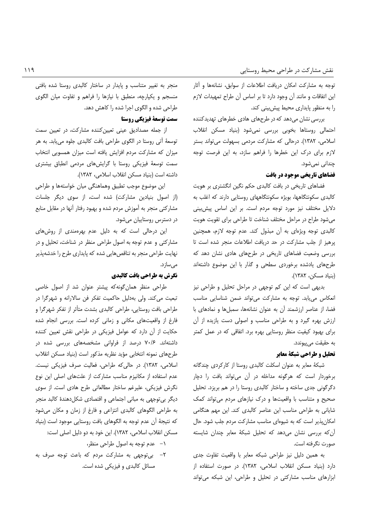توجه به مشاركت امكان دريافت اطلاعات از سوابق، نشانهها و آثار این اتفاقات و مانند أن وجود دارد تا بر اساس أن طراح تمهیدات لازم را به منظور پایداری محیط پیش بینی کند.

بررسی نشان میدهد که در طرحهای هادی خطرهای تهدیدکننده احتمالی روستاها بخوبی بررسی نمیشود (بنیاد مسکن انقلاب اسلامی، ١٣٨٢). درحالی که مشارکت مردمی بسهولت می تواند بستر لازم برای درک این خطرها را فراهم سازد، به این فرصت توجه چندان*ی* نمیشود.

### فضاهای تاریخی موجود در بافت

فضاهای تاریخی در بافت کالبدی حکم نگین انگشتری بر هویت کالبدی سکونتگاهها، بویژه سکونتگاههای روستایی دارند که اغلب به دلایل مختلف نیز مورد توجه مردم است. بر این اساس پیش بینی میشود طراح در مراحل مختلف شناخت تا طراحی برای تقویت هویت كالبدى توجه ويژهاى به آن مبذول كند. عدم توجه لازم، همچنين پرهیز از جلب مشارکت در حد دریافت اطلاعات منجر شده است تا بررسی وضعیت فضاهای تاریخی در طرحهای هادی نشان دهد که طرحهای یادشده برخوردی سطحی و گذار با این موضوع داشتهاند (بنياد مسكن، ١٣٨٢).

بدیهی است که این کم توجهی در مراحل تحلیل و طراحی نیز انعکاس می یابد. توجه به مشارکت می تواند ضمن شناسایی مناسب فضا، از عناصر ارزشمند آن به عنوان نشانهها، سمبلها و نمادهای با ارزش بهره گیرد و به طراحی مناسب و اصولی دست یازیده از آن برای بهبود کیفیت منظر روستایی بهره برد. اتفاقی که در عمل کمتر به حقيقت مي پيوندد.

#### تحليل و طراحي شبكة معابر

شبکهٔ معابر به عنوان اسکلت کالبدی روستا از کارکردی چندگانه برخوردار است كه هرگونه مداخله در آن مى تواند بافت را دچار دگرگونی جدی ساخته و ساختار کالبدی روستا را در هم بریزد. تحلیل صحیح و متناسب با واقعیتها و درک نیازهای مردم می تواند کمک شایانی به طراحی مناسب این عناصر کالبدی کند. این مهم هنگامی امکان پذیر است که به شیوهای مناسب مشارکت مردم جلب شود. حال آن که بررسی نشان می دهد که تحلیل شبکهٔ معابر چندان شایسته صورت نگرفته است.

به همین دلیل نیز طراحی شبکه معابر با واقعیت تفاوت جدی دارد (بنیاد مسکن انقلاب اسلامی، ۱۳۸۲). در صورت استفاده از ابزارهای مناسب مشارکتی در تحلیل و طراحی، این شبکه می تواند

منجر به تغییر متناسب و پایدار در ساختار کالبدی روستا شده بافتی منسجم و یکپارچه، منطبق با نیازها را فراهم و تفاوت میان الگوی طراحی شده و الگوی اجرا شده را کاهش دهد.

# سمت توسعة فيزيكي روستا

از جمله مصدادیق عینی تعیینکننده مشارکت، در تعیین سمت توسعهٔ اًتی روستا در الگوی طراحی بافت کالبدی جلوه مییابد. به هر میزان که مشارکت مردم افزایش یافته است میزان همسویی انتخاب سمت توسعهٔ فیزیکی روستا با گرایشهای مردمی انطباق بیشتری داشته است (بنياد مسكن انقلاب اسلامي، ١٣٨٢).

این موضوع موجب تطبیق وهماهنگی میان خواستهها و طراحی (از اصول بنیادین مشارکت) شده است، از سوی دیگر جلسات مشاركتي منجر به آموزش مردم شده و بهبود رفتار آنها در مقابل منابع در دسترس روستاییان میشود.

این درحالی است که به دلیل عدم بهرهمندی از روشهای مشارکتی و عدم توجه به اصول طراحی منظر در شناخت، تحلیل و در نهایت طراحی منجر به تناقصهایی شده که پایداری طرح را خدشهپذیر مىسازد.

# نگرش به طراحی بافت کالبدی

طراحی منظر همان گونه که پیشتر عنوان شد از اصول خاصی تبعیت می کند. ولی بهدلیل حاکمیت تفکر فن سالارانه و شهرگرا در طراحی بافت روستایی، طراحی کالبدی بشدت متأثر از تفکر شهرگرا و فارغ از واقعیتهای مکانی و زمانی کرده است. بررسی انجام شده حکایت از آن دارد که عوامل فیزیکی در طراحی نقش تعیین کننده داشتهاند. ۷۰/۶ درصد از فراوانی مشخصههای بررسی شده در طرحهای نمونه انتخابی مؤید نظریه مذکور است (بنیاد مسکن انقلاب اسلامی، ١٣٨٢). در حالي كه طراحي، فعاليت صرف فيزيكي نيست. عدم استفاده از مکانیزم مناسب مشارکت از علتهای اصلی این نوع نگرش فیزیکی، علیرغم ساختار مطالعاتی طرح هادی است. از سوی دیگر بی توجهی به مبانی اجتماعی و اقتصادی شکل دهندهٔ کالبد منجر به طراحی الگوهای کالبدی انتزاعی و فارغ از زمان و مکان میشود كه نتيجهٔ أن عدم توجه به الگوهاى بافت روستايى موجود است (بنياد مسكن انقلاب اسلامي، ١٣٨٢). اين خود به دو دليل اصلى است:

- ١- عدم توجه به اصول طراحي منظر،
- ٢- بي توجهي به مشاركت مردم كه باعث توجه صرف به مسائل كالبدى و فيزيكى شده است.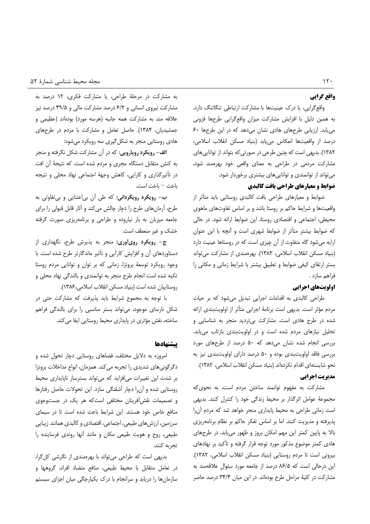## واقع گرایی

واقع گرایی، یا درک عینیتها با مشارکت ارتباطی تنگاتنگ دارد. به همین دلیل با افزایش مشارکت میزان واقع گرایی طرحها فزونی می یابد. ارزیابی طرحهای هادی نشان می دهد که در این طرحها ۶۰ درصد از واقعیتها انعکاس می یابد (بنیاد مسکن انقلاب اسلامی، ۱۳۸۲). بدیهی است که چنین طرحی در صورتی که بتواند از توانایی های مشارکت مردمی در طراحی به معنای واقعی خود بهرهمند شود، می تواند از توانمندی و تواناییهای بیشتری برخوردار شود.

# ضوابط و معیارهای طراحی بافت کالبدی

ضوابط و معیارهای طراحی بافت کالبدی روستایی باید متأثر از واقعیتها و شرایط حاکم بر روستا باشد و بر اساس تفاوتهای ماهوی محیطی، اجتماعی و اقتصادی روستا، این ضوابط ارائه شود. در حالی که ضوابط بیشتر متأثر از ضوابط شهری است و آنچه با این عنوان ارایه می شود گاه متفاوت از آن چیزی است که در روستاها عینیت دارد (بنیاد مسکن انقلاب اسلامی، ۱۳۸۲). بهرهمندی از مشارکت می تواند بستر ارتقای کیفی ضوابط و تطبیق بیشتر با شرایط زمانی و مکانی را فراهم سازد .

# اولویتهای اجرایی

طراحی کالبدی به اقدامات اجرایی تبدیل میشود که بر حیات مردم مؤثر است. بدیهی است برنامهٔ اجرایی متأثر از اولویتبندی ارائه شده در طرح هادی است. مشارکت بیتردید منجر به شناسایی و تحلیل نیازهای مردم شده است و در اولویتبندی بازتاب می یابد. بررسی انجام شده نشان می دهد که ۵۰ درصد از طرحهای مورد بررسی فاقد اولویتبندی بوده و ۵۰ درصد دارای اولویتبندی نیز به نحو شايستهاى اقدام نكردهاند (بنياد مسكن انقلاب اسلامى، ١٣٨٢). مديريت اجرايي

# مشارکت به مفهوم توانمند ساختن مردم است، به نحوی که مجموعهٔ عوامل اثرگذار بر محیط زندگی خود را کنترل کنند. بدیهی است زمانی طراحی به محیط پایداری منجر خواهد شد که مردم آن را پذیرفته و مدیریت کنند. اما بر اساس تفکر حاکم بر نظام برنامهریزی بالا به پایین کمتر این مهم امکان بروز و ظهور می پابد. در طرحهای هادی کمتر موضوع مذکور مورد توجه قرار گرفته و تأکید بر نهادهای بيروني است تا مردم روستايي (بنياد مسكن انقلاب اسلامي، ١٣٨٢). این درحالی است که ۶/۵ درصد از جامعه مورد سئوال علاقهمند به مشارکت در کلیهٔ مراحل طرح بودهاند. در این میان ۳۴/۴ درصد حاضر

به مشاركت در مرحلهٔ طراحى، يا مشاركت فكرى، ١٢ درصد به مشارکت نیروی انسانی و ۶/۲ درصد مشارکت مالی و ۴۹/۵ درصد نیز علاقه مند به مشاركت همه جانبه (هرسه مورد) بودهاند (عظيمى و جمشیدیان، ۱۳۸۴). حاصل تعامل و مشارکت با مردم در طرحهای هادی روستایی منجر به شکل گیری سه رویکرد می شود:

الف- رویکرد رویارویی: که در آن مشارکت شکل نگرفته و منجر به کنش متقابل دستگاه مجری و مردم شده است. که نتیجهٔ آن افت در تأثیرگذاری و کارایی، کاهش وجههٔ اجتماعی نهاد محلی و نتیجه باخت - باخت است.

ب- رویکرد رویگردانی: که طی آن بی اعتنایی و بی تفاوتی به طرح، آرمانهای طرح را دچار چالش می کند و آثار قابل قبولی را برای جامعه میزبان به بار نیاروده و طراحی و برنامهریزی صورت گرفته خشک و غیر منعطف است.

ج- رویکرد رویآوری: منجر به پذیرش طرح، نگهداری از دستاوردهای آن و افزایش کارآیی و تأثیر ماندگارتر طرح شده است. با وجود رویکرد توسعهٔ برونزا، زمانی که بر توان و توانایی مردم روستا تکیه شده است انجام طرح منجر به توانمندی و بالندگی نهاد محلی و روستاييان شده است (بنياد مسكن انقلاب اسلامي،١٣٨۶).

با توجه به مجموع شرایط باید پذیرفت که مشارکت حتی در شکل نارسای موجود، میتواند بستر مناسبی را برای بالندگی فراهم ساخته، نقش مؤثری در پایداری محیط روستایی ایفا میکند.

### تتشهادها

امروزه به دلایل مختلف، فضاهای روستایی دچار تحول شده و دگر گونی های شدیدی را تجربه می کند. همزمان، انواع مداخلات برونزا بر شدت این تغییرات می افزاید که می تواند بسترساز ناپایداری محیط روستایی شده و آن را دچار آشفتگی سازد. این تحولات حاصل رفتارها و تصمیمات نقش آفرینان مختلفی است که هر یک در جستوجوی منافع خاص خود هستند. این شرایط باعث شده است تا در سیمای سرزمین، ارزش های طبیعی، اجتماعی، اقتصادی و کالبدی همانند زیبایی طبیعی، روح و هویت طبیعی مکان و مانند آنها روندی فرساینده را تحربه كنند.

بدیهی است که طراحی می تواند با بهرهمندی از نگرشی کل گرا، در تعامل متقابل با محیط طبیعی، منافع متضاد افراد، گروهها و سازمانها را دریابد و سرانجام با درک یکپارچگی میان اجزای سیستم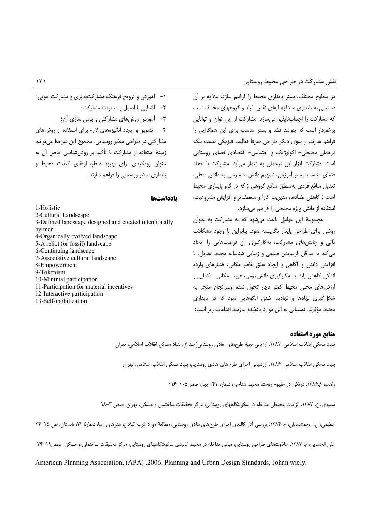در سطوح مختلف، بستر پایداری محیط را فراهم سازد. علاوه بر آن دستیابی به پایداری مستلزم ایفای نقش افراد و گروههای مختلف است که مشارکت را اجتنابناپذیر میسازد. مشارکت از این توان و توانایی برخوردار است كه بتوانند فضا و بستر مناسب براى اين همگرايى را فراهم سازند. از سوی دیگر طراحی صرفأ فعالیت فیزیکی نیست بلکه ترجمان محیطی- اکولوژیک و اجتماعی- اقتصادی فضای روستایی است. مشاركت ابزار اين ترجمان به شمار مي آيد. مشاركت با ايجاد فضای مناسب، بستر آموزش، تسهیم دانش، دسترسی به دانش محلی، تعدیل منافع فردی بهمنظور منافع گروهی ; که در گرو پایداری محیط است ; كاهش تضادها، مديريت كارا و منعطفتر و افزايش مشروعيت، استفاده از دانش ویژه محیطی را فراهم میسازد.

مجموعهٔ این عوامل باعث می شود که به مشارکت به عنوان روشی برای طراحی پایدار نگریسته شود. بنابراین با وجود مشکلات ذاتی و چالش های مشارکت، به کارگیری آن فرصتهایی را ایجاد می کند تا حداقل فرسایش طبیعی و زیبایی شناسانه محیط تعدیل، با افزایش دانش و آگاهی و ایجاد تعلق خاطر مکانی، فشارهای وارده اندکی کاهش پابد. با بهکارگیری دانش بومی، هویت مکانی \_ فضایی و ارزشهای محلی محیط کمتر دچار تحول شده وسرانجام منجر به شکل گیری نهادها و نهادینه شدن الگوهایی شود که در پایداری محیط مؤثرند. دستیابی به این موارد یادشده نیازمند اقدامات زیر است:

# ۱- آموزش و ترویج فرهنگ مشارکتپذیری و مشارکت جویی؛ ٢- أشنايي با اصول و مديريت مشاركت؛ ٣- آموزش روشهای مشارکتی و بومی سازی آن؛ ۴- تشویق و ایجاد انگیزههای لازم برای استفاده از روشهای مشاركتي در طراحي منظر روستايي. مجموع اين شرايط مي توانند زمینهٔ استفاده از مشارکت با تأکید بر روششناسی خاص آن به عنوان رویکردی برای بهبود منظر، ارتقای کیفیت محیط و یایداری منظر روستایی را فراهم سازند.

#### بادداشتها

1-Holistic 2-Cultural Landscape 3-Defined landscape designed and created intentionally by man 4-Organically evolved landscape 5-A relict (or fossil) landscape 6-Continuing landscape 7-Associative cultural landscape 8-Empowerment 9-Tokenism 10-Minimal participation 11-Participation for material incentives 12-Interactive participation 13-Self-mobilization

#### منابع مورد استفاده

بنياد مسكن انقلاب اسلامي. ١٣٨٢. ارزيابي تهيهٔ طرحهاي هادي روستايي(جلد ۴)، بنياد مسكن انقلاب اسلامي، تهران

بنیاد مسکن انقلاب اسلامی. ۱۳۸۶. ارزشیابی اجرای طرحهای هادی روستایی، بنیاد مسکن انقلاب اسلامی، تهران

راهب، غ.١٣٨۶. درنگی در مفهوم روستا، محیط شناسی، شماره ۴۱، بهار، صص١٠٥-١١۶

سعیدی، ع. ۱۳۸۷. الزامات محیطی مداخله در سکونتگاههای روستایی، مرکز تحقیقات ساختمان و مسکن، تهران، صص ۳–۱۸

عظیمی، ن.ا. ،جمشیدیان، م. ۱۳۸۴. بررسی آثار کالبدی اجرای طرحهای هادی روستایی، مطالعهٔ مورد غرب گیلان، هنرهای زیبا، شمارهٔ ۲۲، تابستان، ص ۲۵–۳۴

علی الحسابی، م. ۱۳۸۷. حلاوتهای طراحی روستایی، مبانی مداخله در محیط کالبدی سکونتگاههای روستایی، مرکز تحقیقات ساختمان و مسکن، صص۱۹–۲۴

American Planning Association, (APA) .2006. Planning and Urban Design Standards, Johan wiely.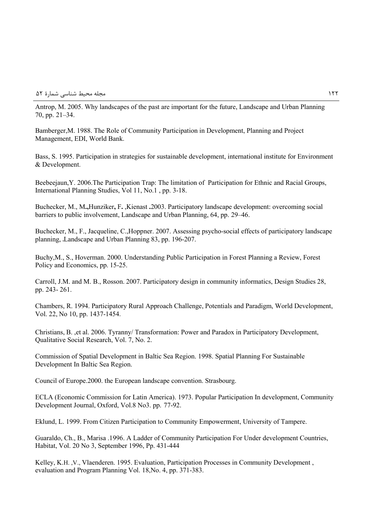Antrop, M. 2005. Why landscapes of the past are important for the future, Landscape and Urban Planning 70, pp. 21–34.

Bamberger,M. 1988. The Role of Community Participation in Development, Planning and Project Management, EDI, World Bank.

Bass, S. 1995. Participation in strategies for sustainable development, international institute for Environment & Development.

Beebeejaun, Y. 2006. The Participation Trap: The limitation of Participation for Ethnic and Racial Groups, International Planning Studies, Vol 11, No.1 , pp. 3-18.

Buchecker, M., M**.,**Hunziker**,** F**.** ,Kienast **.**2003. Participatory landscape development: overcoming social barriers to public involvement, Landscape and Urban Planning, 64, pp. 29–46.

Buchecker, M., F., Jacqueline, C.,Hoppner. 2007. Assessing psycho-social effects of participatory landscape planning, ,Landscape and Urban Planning 83, pp. 196-207.

Buchy,M., S., Hoverman. 2000. Understanding Public Participation in Forest Planning a Review, Forest Policy and Economics, pp. 15-25.

Carroll, J.M. and M. B., Rosson. 2007. Participatory design in community informatics, Design Studies 28, pp. 243- 261.

Chambers, R. 1994. Participatory Rural Approach Challenge, Potentials and Paradigm, World Development, Vol. 22, No 10, pp. 1437-1454.

Christians, B. ,et al. 2006. Tyranny/ Transformation: Power and Paradox in Participatory Development, Qualitative Social Research, Vol. 7, No. 2.

Commission of Spatial Development in Baltic Sea Region. 1998. Spatial Planning For Sustainable Development In Baltic Sea Region.

Council of Europe.2000. the European landscape convention. Strasbourg.

ECLA (Economic Commission for Latin America). 1973. Popular Participation In development, Community Development Journal, Oxford, Vol.8 No3. pp. 77-92.

Eklund, L. 1999. From Citizen Participation to Community Empowerment, University of Tampere.

Guaraldo, Ch., B., Marisa .1996. A Ladder of Community Participation For Under development Countries, Habitat, Vol. 20 No 3, September 1996, Pp. 431-444

Kelley, K.H. ,V., Vlaenderen. 1995. Evaluation, Participation Processes in Community Development , evaluation and Program Planning Vol. 18,No. 4, pp. 371-383.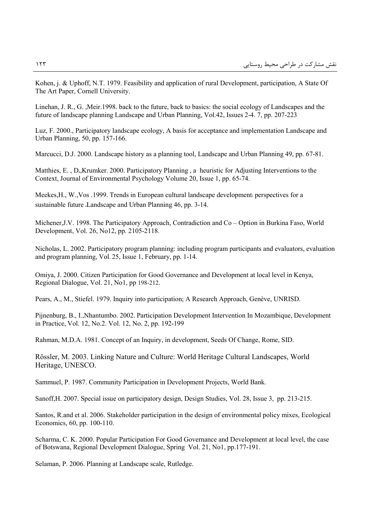Kohen, j. & Uphoff, N.T. 1979. Feasibility and application of rural Development, participation, A State Of The Art Paper, Cornell University.

Linehan, J. R., G. ,Meir.1998. back to the future, back to basics: the social ecology of Landscapes and the future of landscape planning Landscape and Urban Planning, Vol.42, Issues 2-4. 7, pp. 207-223

Luz, F. 2000., Participatory landscape ecology, A basis for acceptance and implementation Landscape and Urban Planning, 50, pp. 157-166.

Marcucci, D.J. 2000. Landscape history as a planning tool, Landscape and Urban Planning 49, pp. 67-81.

Matthies, E. , D**.**,Krumker. 2000. Participatory Planning , a heuristic for Adjusting Interventions to the Context, Journal of Environmental Psychology Volume 20, Issue 1, pp. 65-74.

Meekes,H., W.,Vos .1999. Trends in European cultural landscape development: perspectives for a sustainable future ,Landscape and Urban Planning 46, pp. 3-14.

Michener,J.V. 1998. The Participatory Approach, Contradiction and Co – Option in Burkina Faso, World Development, Vol. 26, No12, pp. 2105-2118.

Nicholas, L. 2002. Participatory program planning: including program participants and evaluators, evaluation and program planning, Vol. 25, Issue 1, February, pp. 1-14.

Omiya, J. 2000. Citizen Participation for Good Governance and Development at local level in Kenya, Regional Dialogue, Vol. 21, No1, pp 198-212.

Pears, A., M., Stiefel. 1979. Inquiry into participation; A Research Approach, Genève, UNRISD.

Pijnenburg, B., I.,Nhantumbo. 2002. Participation Development Intervention In Mozambique, Development in Practice, Vol. 12, No.2. Vol. 12, No. 2, pp. 192-199

Rahman, M.D.A. 1981. Concept of an Inquiry, in development, Seeds Of Change, Rome, SID.

Rössler, M. 2003. Linking Nature and Culture: World Heritage Cultural Landscapes, World Heritage, UNESCO.

Sammuel, P. 1987. Community Participation in Development Projects, World Bank.

Sanoff,H. 2007. Special issue on participatory design, Design Studies, Vol. 28, Issue 3, pp. 213-215.

Santos, R.and et al. 2006. Stakeholder participation in the design of environmental policy mixes, Ecological Economics, 60, pp. 100-110.

Scharma, C. K. 2000. Popular Participation For Good Governance and Development at local level, the case of Botswana, Regional Development Dialogue, Spring Vol. 21, No1, pp.177-191.

Selaman, P. 2006. Planning at Landscape scale, Rutledge.